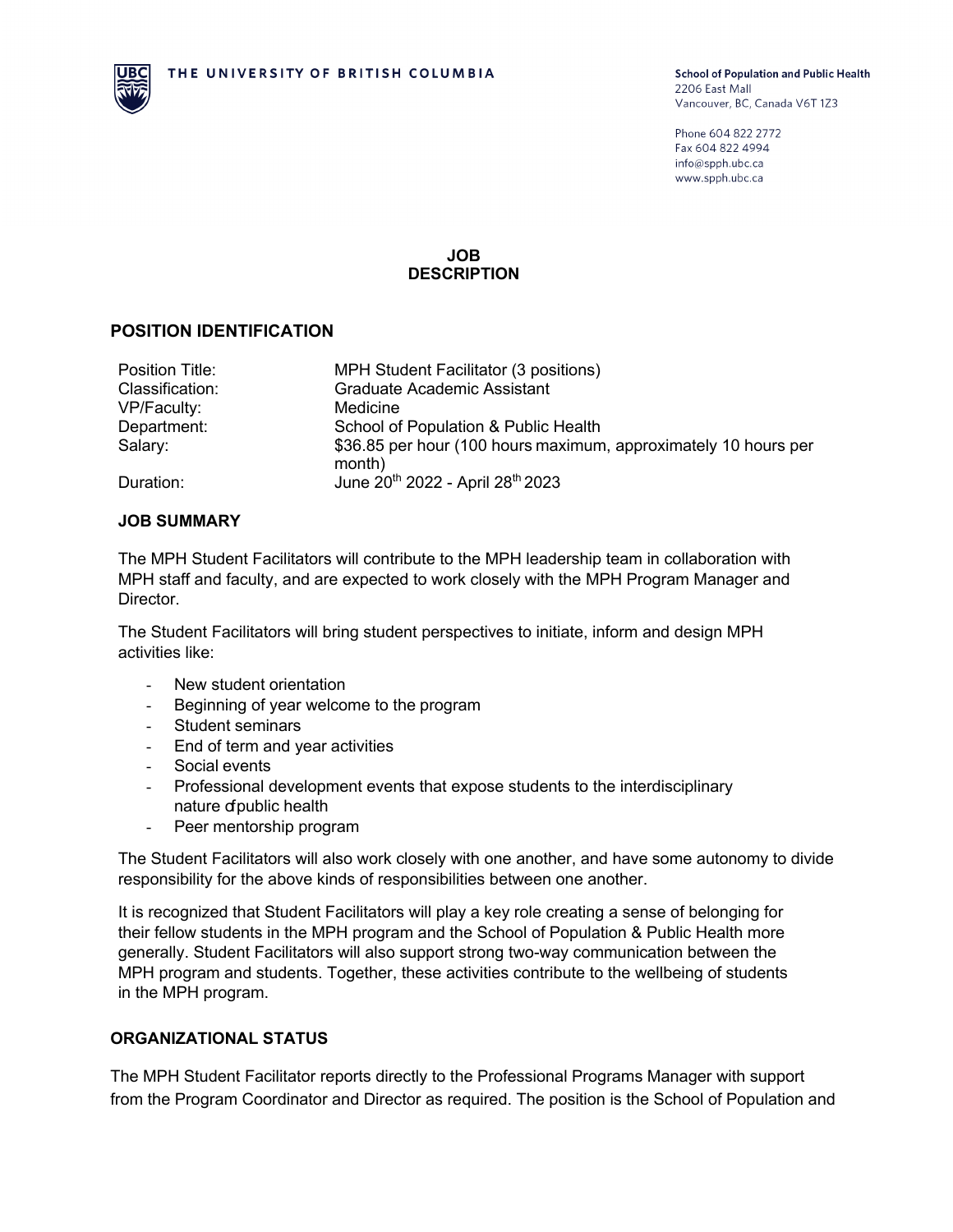

Phone 604 822 2772 Fax 604 822 4994 info@spph.ubc.ca www.spph.ubc.ca

### **JOB DESCRIPTION**

### **POSITION IDENTIFICATION**

| Position Title: | MPH Student Facilitator (3 positions)                                     |
|-----------------|---------------------------------------------------------------------------|
| Classification: | <b>Graduate Academic Assistant</b>                                        |
| VP/Faculty:     | Medicine                                                                  |
| Department:     | School of Population & Public Health                                      |
| Salary:         | \$36.85 per hour (100 hours maximum, approximately 10 hours per<br>month) |
| Duration:       | June 20 <sup>th</sup> 2022 - April 28 <sup>th</sup> 2023                  |

### **JOB SUMMARY**

The MPH Student Facilitators will contribute to the MPH leadership team in collaboration with MPH staff and faculty, and are expected to work closely with the MPH Program Manager and Director.

The Student Facilitators will bring student perspectives to initiate, inform and design MPH activities like:

- New student orientation
- Beginning of year welcome to the program
- Student seminars
- End of term and year activities
- Social events
- Professional development events that expose students to the interdisciplinary nature of public health
- Peer mentorship program

The Student Facilitators will also work closely with one another, and have some autonomy to divide responsibility for the above kinds of responsibilities between one another.

It is recognized that Student Facilitators will play a key role creating a sense of belonging for their fellow students in the MPH program and the School of Population & Public Health more generally. Student Facilitators will also support strong two-way communication between the MPH program and students. Together, these activities contribute to the wellbeing of students in the MPH program.

### **ORGANIZATIONAL STATUS**

The MPH Student Facilitator reports directly to the Professional Programs Manager with support from the Program Coordinator and Director as required. The position is the School of Population and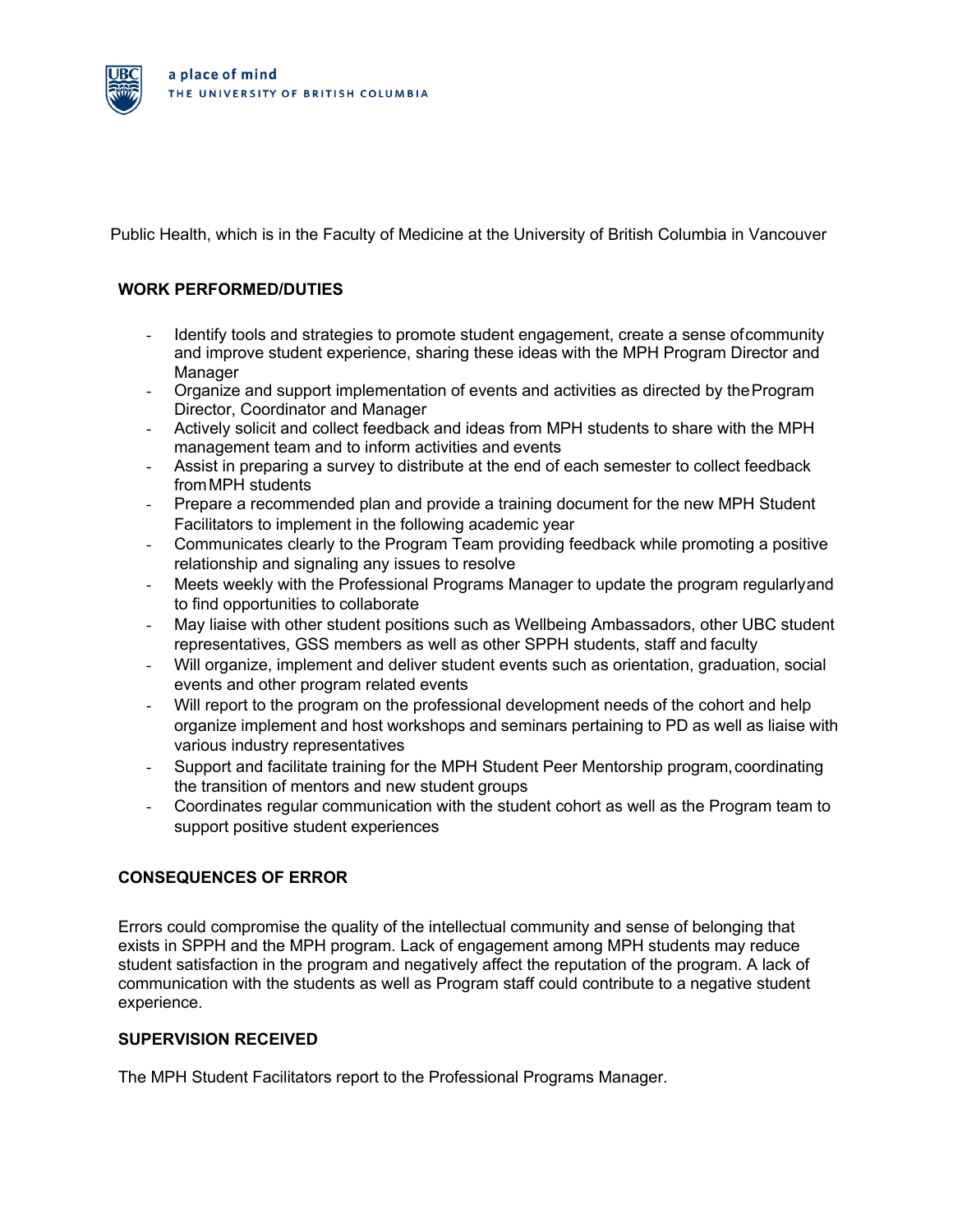

Public Health, which is in the Faculty of Medicine at the University of British Columbia in Vancouver

## **WORK PERFORMED/DUTIES**

- Identify tools and strategies to promote student engagement, create a sense ofcommunity and improve student experience, sharing these ideas with the MPH Program Director and **Manager**
- Organize and support implementation of events and activities as directed by theProgram Director, Coordinator and Manager
- Actively solicit and collect feedback and ideas from MPH students to share with the MPH management team and to inform activities and events
- Assist in preparing a survey to distribute at the end of each semester to collect feedback fromMPH students
- Prepare a recommended plan and provide a training document for the new MPH Student Facilitators to implement in the following academic year
- Communicates clearly to the Program Team providing feedback while promoting a positive relationship and signaling any issues to resolve
- Meets weekly with the Professional Programs Manager to update the program regularlyand to find opportunities to collaborate
- May liaise with other student positions such as Wellbeing Ambassadors, other UBC student representatives, GSS members as well as other SPPH students, staff and faculty
- Will organize, implement and deliver student events such as orientation, graduation, social events and other program related events
- Will report to the program on the professional development needs of the cohort and help organize implement and host workshops and seminars pertaining to PD as well as liaise with various industry representatives
- Support and facilitate training for the MPH Student Peer Mentorship program,coordinating the transition of mentors and new student groups
- Coordinates regular communication with the student cohort as well as the Program team to support positive student experiences

# **CONSEQUENCES OF ERROR**

Errors could compromise the quality of the intellectual community and sense of belonging that exists in SPPH and the MPH program. Lack of engagement among MPH students may reduce student satisfaction in the program and negatively affect the reputation of the program. A lack of communication with the students as well as Program staff could contribute to a negative student experience.

### **SUPERVISION RECEIVED**

The MPH Student Facilitators report to the Professional Programs Manager.